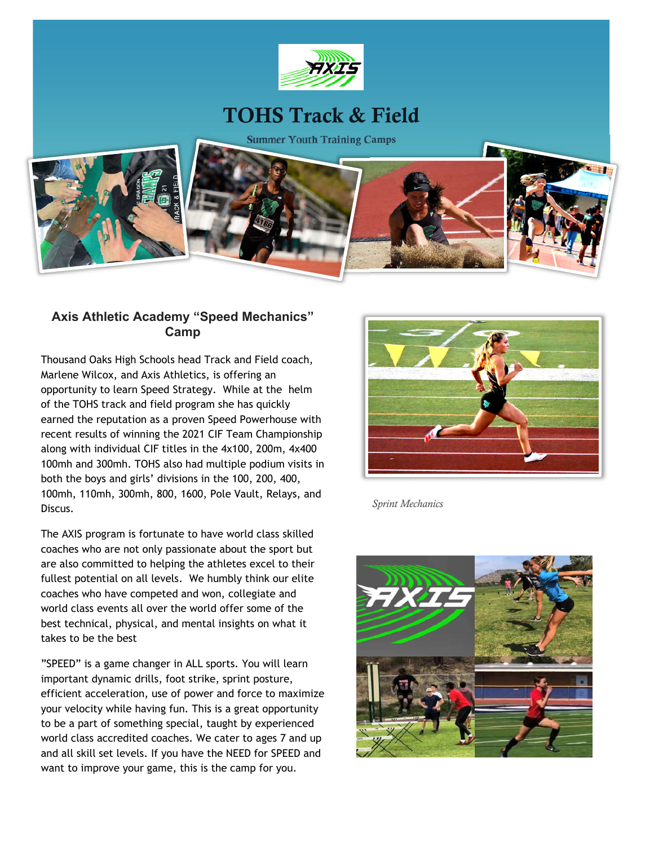

### **TOHS Track & Field**

**Summer Youth Training Camps**



#### **Axis Athletic Academy "Speed Mechanics" Camp**

Thousand Oaks High Schools head Track and Field coach, Marlene Wilcox, and Axis Athletics, is offering an opportunity to learn Speed Strategy. While at the helm of the TOHS track and field program she has quickly earned the reputation as a proven Speed Powerhouse with recent results of winning the 2021 CIF Team Championship along with individual CIF titles in the 4x100, 200m, 4x400 100mh and 300mh. TOHS also had multiple podium visits in both the boys and girls' divisions in the 100, 200, 400, 100mh, 110mh, 300mh, 800, 1600, Pole Vault, Relays, and Discus.

The AXIS program is fortunate to have world class skilled coaches who are not only passionate about the sport but are also committed to helping the athletes excel to their fullest potential on all levels. We humbly think our elite coaches who have competed and won, collegiate and world class events all over the world offer some of the best technical, physical, and mental insights on what it takes to be the best

"SPEED" is a game changer in ALL sports. You will learn important dynamic drills, foot strike, sprint posture, efficient acceleration, use of power and force to maximize your velocity while having fun. This is a great opportunity to be a part of something special, taught by experienced world class accredited coaches. We cater to ages 7 and up and all skill set levels. If you have the NEED for SPEED and want to improve your game, this is the camp for you.



*Sprint Mechanics* 

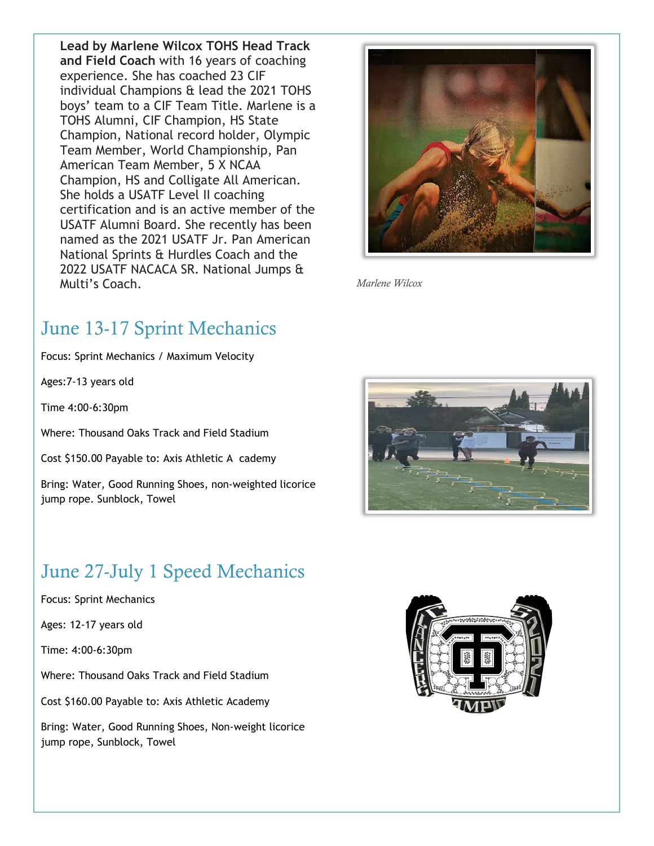**Lead by Marlene Wilcox TOHS Head Track and Field Coach** with 16 years of coaching experience. She has coached 23 CIF individual Champions & lead the 2021 TOHS boys' team to a CIF Team Title. Marlene is a TOHS Alumni, CIF Champion, HS State Champion, National record holder, Olympic Team Member, World Championship, Pan American Team Member, 5 X NCAA Champion, HS and Colligate All American. She holds a USATF Level II coaching certification and is an active member of the USATF Alumni Board. She recently has been named as the 2021 USATF Jr. Pan American National Sprints & Hurdles Coach and the 2022 USATF NACACA SR. National Jumps & Multi's Coach.



*Marlene Wilcox*

# June 13-17 Sprint Mechanics

Focus: Sprint Mechanics / Maximum Velocity

Ages:7-13 years old

Time 4:00-6:30pm

Where: Thousand Oaks Track and Field Stadium

Cost \$150.00 Payable to: Axis Athletic A cademy

Bring: Water, Good Running Shoes, non-weighted licorice jump rope. Sunblock, Towel

# June 27-July 1 Speed Mechanics

Focus: Sprint Mechanics

Ages: 12-17 years old

Time: 4:00-6:30pm

Where: Thousand Oaks Track and Field Stadium

Cost \$160.00 Payable to: Axis Athletic Academy

Bring: Water, Good Running Shoes, Non-weight licorice jump rope, Sunblock, Towel

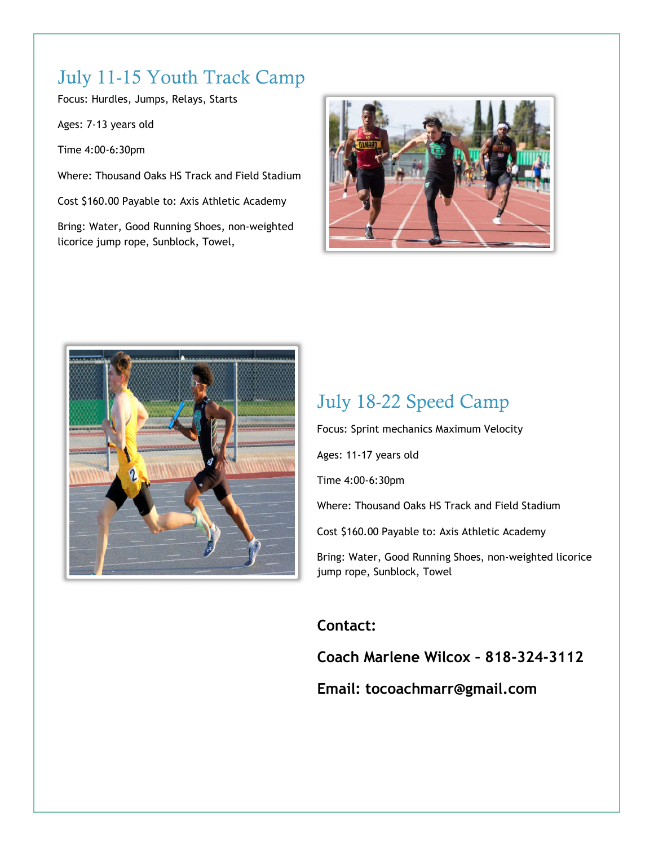# July 11-15 Youth Track Camp

Focus: Hurdles, Jumps, Relays, Starts

Ages: 7-13 years old

Time 4:00-6:30pm

Where: Thousand Oaks HS Track and Field Stadium

Cost \$160.00 Payable to: Axis Athletic Academy

Bring: Water, Good Running Shoes, non-weighted licorice jump rope, Sunblock, Towel,





#### July 18-22 Speed Camp

Focus: Sprint mechanics Maximum Velocity

Ages: 11-17 years old

Time 4:00-6:30pm

Where: Thousand Oaks HS Track and Field Stadium

Cost \$160.00 Payable to: Axis Athletic Academy

Bring: Water, Good Running Shoes, non-weighted licorice jump rope, Sunblock, Towel

#### **Contact:**

**Coach Marlene Wilcox – 818-324-3112**

#### **Email: tocoachmarr@gmail.com**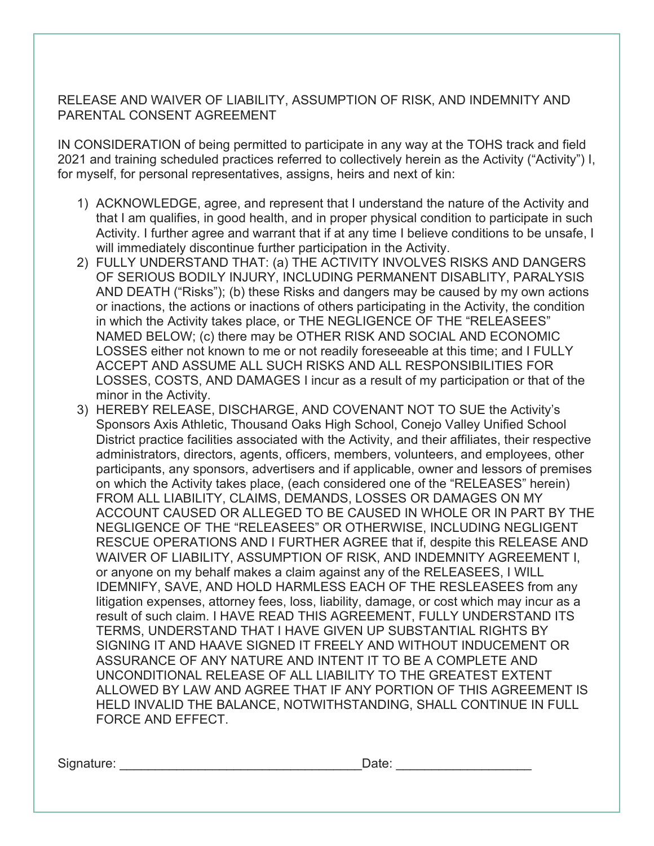RELEASE AND WAIVER OF LIABILITY, ASSUMPTION OF RISK, AND INDEMNITY AND PARENTAL CONSENT AGREEMENT

IN CONSIDERATION of being permitted to participate in any way at the TOHS track and field 2021 and training scheduled practices referred to collectively herein as the Activity ("Activity") I, for myself, for personal representatives, assigns, heirs and next of kin:

- 1) ACKNOWLEDGE, agree, and represent that I understand the nature of the Activity and that I am qualifies, in good health, and in proper physical condition to participate in such Activity. I further agree and warrant that if at any time I believe conditions to be unsafe, I will immediately discontinue further participation in the Activity.
- 2) FULLY UNDERSTAND THAT: (a) THE ACTIVITY INVOLVES RISKS AND DANGERS OF SERIOUS BODILY INJURY, INCLUDING PERMANENT DISABLITY, PARALYSIS AND DEATH ("Risks"); (b) these Risks and dangers may be caused by my own actions or inactions, the actions or inactions of others participating in the Activity, the condition in which the Activity takes place, or THE NEGLIGENCE OF THE "RELEASEES" NAMED BELOW; (c) there may be OTHER RISK AND SOCIAL AND ECONOMIC LOSSES either not known to me or not readily foreseeable at this time; and I FULLY ACCEPT AND ASSUME ALL SUCH RISKS AND ALL RESPONSIBILITIES FOR LOSSES, COSTS, AND DAMAGES I incur as a result of my participation or that of the minor in the Activity.
- 3) HEREBY RELEASE, DISCHARGE, AND COVENANT NOT TO SUE the Activity's Sponsors Axis Athletic, Thousand Oaks High School, Conejo Valley Unified School District practice facilities associated with the Activity, and their affiliates, their respective administrators, directors, agents, officers, members, volunteers, and employees, other participants, any sponsors, advertisers and if applicable, owner and lessors of premises on which the Activity takes place, (each considered one of the "RELEASES" herein) FROM ALL LIABILITY, CLAIMS, DEMANDS, LOSSES OR DAMAGES ON MY ACCOUNT CAUSED OR ALLEGED TO BE CAUSED IN WHOLE OR IN PART BY THE NEGLIGENCE OF THE "RELEASEES" OR OTHERWISE, INCLUDING NEGLIGENT RESCUE OPERATIONS AND I FURTHER AGREE that if, despite this RELEASE AND WAIVER OF LIABILITY, ASSUMPTION OF RISK, AND INDEMNITY AGREEMENT I, or anyone on my behalf makes a claim against any of the RELEASEES, I WILL IDEMNIFY, SAVE, AND HOLD HARMLESS EACH OF THE RESLEASEES from any litigation expenses, attorney fees, loss, liability, damage, or cost which may incur as a result of such claim. I HAVE READ THIS AGREEMENT, FULLY UNDERSTAND ITS TERMS, UNDERSTAND THAT I HAVE GIVEN UP SUBSTANTIAL RIGHTS BY SIGNING IT AND HAAVE SIGNED IT FREELY AND WITHOUT INDUCEMENT OR ASSURANCE OF ANY NATURE AND INTENT IT TO BE A COMPLETE AND UNCONDITIONAL RELEASE OF ALL LIABILITY TO THE GREATEST EXTENT ALLOWED BY LAW AND AGREE THAT IF ANY PORTION OF THIS AGREEMENT IS HELD INVALID THE BALANCE, NOTWITHSTANDING, SHALL CONTINUE IN FULL FORCE AND EFFECT.

Signature: \_\_\_\_\_\_\_\_\_\_\_\_\_\_\_\_\_\_\_\_\_\_\_\_\_\_\_\_\_\_\_\_\_\_Date: \_\_\_\_\_\_\_\_\_\_\_\_\_\_\_\_\_\_\_